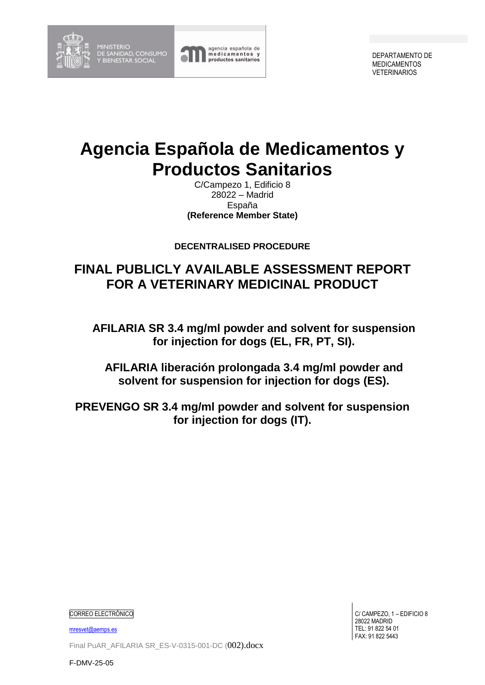

MINISTERIO<br>DE SANIDAD, CONSUMO<br>Y BIENESTAR SOCIAL



DEPARTAMENTO DE MEDICAMENTOS VETERINARIOS

## **Agencia Española de Medicamentos y Productos Sanitarios**

C/Campezo 1, Edificio 8 28022 – Madrid España **(Reference Member State)**

**DECENTRALISED PROCEDURE**

## **FINAL PUBLICLY AVAILABLE ASSESSMENT REPORT FOR A VETERINARY MEDICINAL PRODUCT**

**AFILARIA SR 3.4 mg/ml powder and solvent for suspension for injection for dogs (EL, FR, PT, SI).**

**AFILARIA liberación prolongada 3.4 mg/ml powder and solvent for suspension for injection for dogs (ES).**

**PREVENGO SR 3.4 mg/ml powder and solvent for suspension for injection for dogs (IT).**

CORREO ELECTRÓNICO

[mresvet@aemps.es](mailto:mresvet@aemps.es)

Final PuAR\_AFILARIA SR\_ES-V-0315-001-DC (002).docx

C/ CAMPEZO, 1 – EDIFICIO 8 28022 MADRID TEL: 91 822 54 01 FAX: 91 822 5443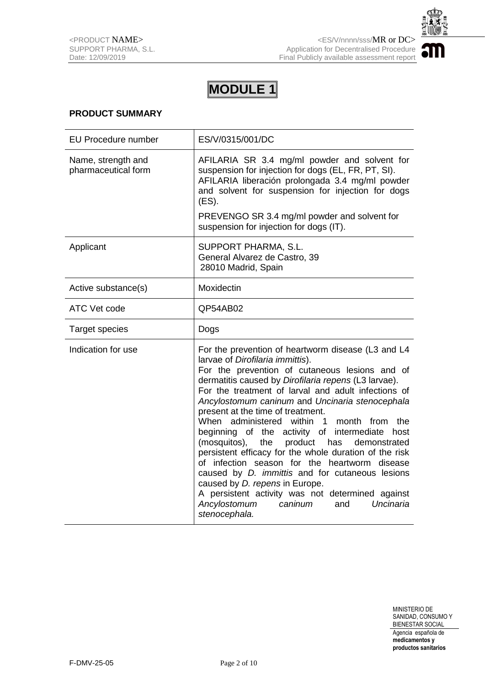

### **PRODUCT SUMMARY**

| <b>EU Procedure number</b>                | ES/V/0315/001/DC                                                                                                                                                                                                                                                                                                                                                                                                                                                                                                                                                                                                                                                                                                                                                                                                                                            |
|-------------------------------------------|-------------------------------------------------------------------------------------------------------------------------------------------------------------------------------------------------------------------------------------------------------------------------------------------------------------------------------------------------------------------------------------------------------------------------------------------------------------------------------------------------------------------------------------------------------------------------------------------------------------------------------------------------------------------------------------------------------------------------------------------------------------------------------------------------------------------------------------------------------------|
| Name, strength and<br>pharmaceutical form | AFILARIA SR 3.4 mg/ml powder and solvent for<br>suspension for injection for dogs (EL, FR, PT, SI).<br>AFILARIA liberación prolongada 3.4 mg/ml powder<br>and solvent for suspension for injection for dogs<br>(ES).                                                                                                                                                                                                                                                                                                                                                                                                                                                                                                                                                                                                                                        |
|                                           | PREVENGO SR 3.4 mg/ml powder and solvent for<br>suspension for injection for dogs (IT).                                                                                                                                                                                                                                                                                                                                                                                                                                                                                                                                                                                                                                                                                                                                                                     |
| Applicant                                 | SUPPORT PHARMA, S.L.<br>General Alvarez de Castro, 39<br>28010 Madrid, Spain                                                                                                                                                                                                                                                                                                                                                                                                                                                                                                                                                                                                                                                                                                                                                                                |
| Active substance(s)                       | Moxidectin                                                                                                                                                                                                                                                                                                                                                                                                                                                                                                                                                                                                                                                                                                                                                                                                                                                  |
| ATC Vet code                              | QP54AB02                                                                                                                                                                                                                                                                                                                                                                                                                                                                                                                                                                                                                                                                                                                                                                                                                                                    |
| <b>Target species</b>                     | Dogs                                                                                                                                                                                                                                                                                                                                                                                                                                                                                                                                                                                                                                                                                                                                                                                                                                                        |
| Indication for use                        | For the prevention of heartworm disease (L3 and L4<br>larvae of Dirofilaria immittis).<br>For the prevention of cutaneous lesions and of<br>dermatitis caused by Dirofilaria repens (L3 larvae).<br>For the treatment of larval and adult infections of<br>Ancylostomum caninum and Uncinaria stenocephala<br>present at the time of treatment.<br>When administered within<br>$\overline{1}$<br>month from<br>the<br>beginning of the activity of intermediate<br>host<br>(mosquitos),<br>the<br>product<br>has<br>demonstrated<br>persistent efficacy for the whole duration of the risk<br>of infection season for the heartworm disease<br>caused by <i>D. immittis</i> and for cutaneous lesions<br>caused by D. repens in Europe.<br>A persistent activity was not determined against<br>Uncinaria<br>Ancylostomum<br>caninum<br>and<br>stenocephala. |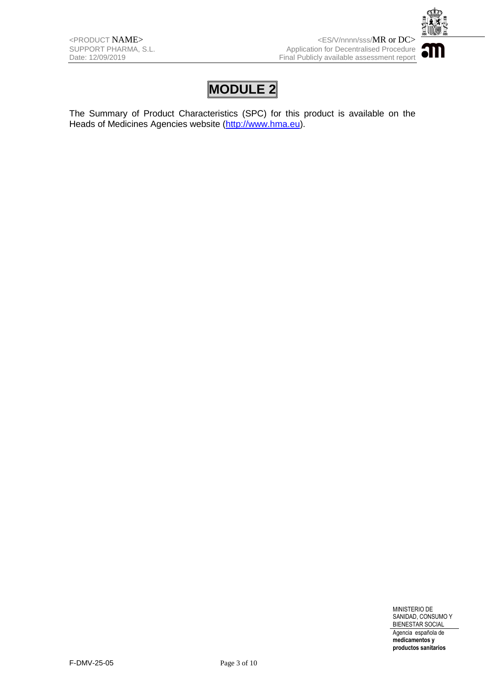

The Summary of Product Characteristics (SPC) for this product is available on the Heads of Medicines Agencies website [\(http://www.hma.eu\)](http://www.hma.eu/).

> MINISTERIO DE SANIDAD, CONSUMO Y BIENESTAR SOCIAL Agencia española de

**medicamentos y productos sanitarios**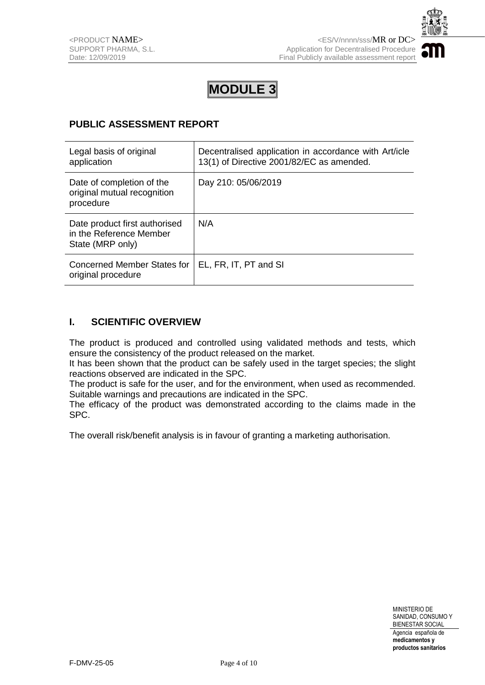

### **PUBLIC ASSESSMENT REPORT**

| Legal basis of original<br>application                                       | Decentralised application in accordance with Art/icle<br>13(1) of Directive 2001/82/EC as amended. |
|------------------------------------------------------------------------------|----------------------------------------------------------------------------------------------------|
| Date of completion of the<br>original mutual recognition<br>procedure        | Day 210: 05/06/2019                                                                                |
| Date product first authorised<br>in the Reference Member<br>State (MRP only) | N/A                                                                                                |
| <b>Concerned Member States for</b><br>original procedure                     | EL, FR, IT, PT and SI                                                                              |

### **I. SCIENTIFIC OVERVIEW**

The product is produced and controlled using validated methods and tests, which ensure the consistency of the product released on the market.

It has been shown that the product can be safely used in the target species; the slight reactions observed are indicated in the SPC.

The product is safe for the user, and for the environment, when used as recommended. Suitable warnings and precautions are indicated in the SPC.

The efficacy of the product was demonstrated according to the claims made in the SPC.

The overall risk/benefit analysis is in favour of granting a marketing authorisation.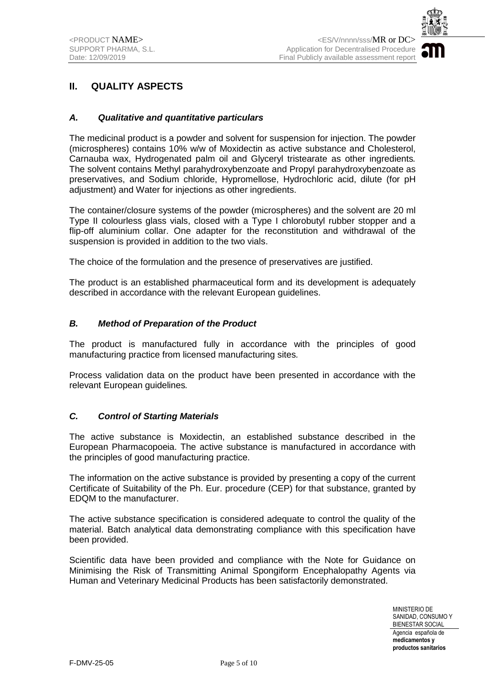

## **II. QUALITY ASPECTS**

#### *A. Qualitative and quantitative particulars*

The medicinal product is a powder and solvent for suspension for injection. The powder (microspheres) contains 10% w/w of Moxidectin as active substance and Cholesterol, Carnauba wax, Hydrogenated palm oil and Glyceryl tristearate as other ingredients*.*  The solvent contains Methyl parahydroxybenzoate and Propyl parahydroxybenzoate as preservatives, and Sodium chloride, Hypromellose, Hydrochloric acid, dilute (for pH adiustment) and Water for injections as other ingredients.

The container/closure systems of the powder (microspheres) and the solvent are 20 ml Type II colourless glass vials, closed with a Type I chlorobutyl rubber stopper and a flip-off aluminium collar. One adapter for the reconstitution and withdrawal of the suspension is provided in addition to the two vials.

The choice of the formulation and the presence of preservatives are justified.

The product is an established pharmaceutical form and its development is adequately described in accordance with the relevant European guidelines.

#### *B. Method of Preparation of the Product*

The product is manufactured fully in accordance with the principles of good manufacturing practice from licensed manufacturing sites*.*

Process validation data on the product have been presented in accordance with the relevant European guidelines*.* 

#### *C. Control of Starting Materials*

The active substance is Moxidectin, an established substance described in the European Pharmacopoeia. The active substance is manufactured in accordance with the principles of good manufacturing practice.

The information on the active substance is provided by presenting a copy of the current Certificate of Suitability of the Ph. Eur. procedure (CEP) for that substance, granted by EDQM to the manufacturer.

The active substance specification is considered adequate to control the quality of the material. Batch analytical data demonstrating compliance with this specification have been provided.

Scientific data have been provided and compliance with the Note for Guidance on Minimising the Risk of Transmitting Animal Spongiform Encephalopathy Agents via Human and Veterinary Medicinal Products has been satisfactorily demonstrated.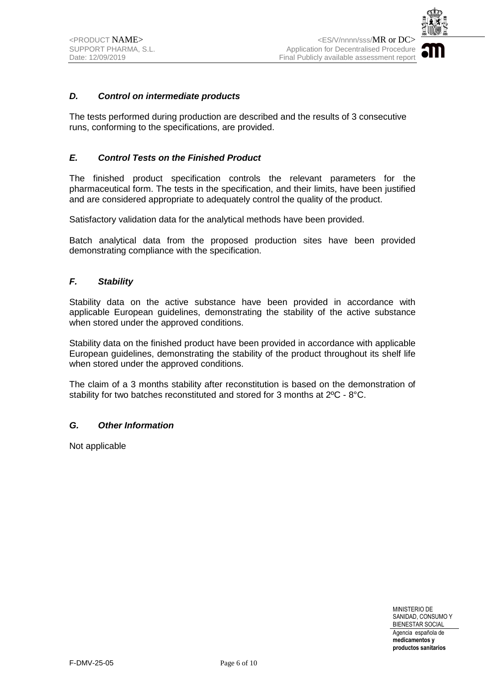

#### *D. Control on intermediate products*

The tests performed during production are described and the results of 3 consecutive runs, conforming to the specifications, are provided.

#### *E. Control Tests on the Finished Product*

The finished product specification controls the relevant parameters for the pharmaceutical form. The tests in the specification, and their limits, have been justified and are considered appropriate to adequately control the quality of the product.

Satisfactory validation data for the analytical methods have been provided.

Batch analytical data from the proposed production sites have been provided demonstrating compliance with the specification.

#### *F. Stability*

Stability data on the active substance have been provided in accordance with applicable European guidelines, demonstrating the stability of the active substance when stored under the approved conditions.

Stability data on the finished product have been provided in accordance with applicable European guidelines, demonstrating the stability of the product throughout its shelf life when stored under the approved conditions.

The claim of a 3 months stability after reconstitution is based on the demonstration of stability for two batches reconstituted and stored for 3 months at 2ºC - 8°C.

#### *G. Other Information*

Not applicable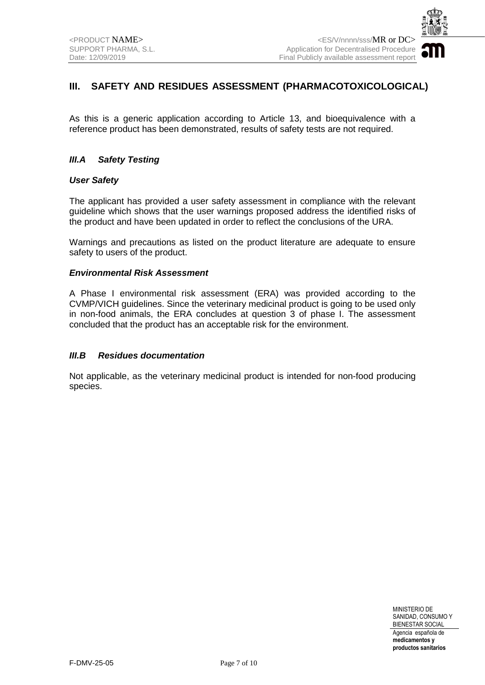

## **III. SAFETY AND RESIDUES ASSESSMENT (PHARMACOTOXICOLOGICAL)**

As this is a generic application according to Article 13, and bioequivalence with a reference product has been demonstrated, results of safety tests are not required.

#### *III.A Safety Testing*

#### *User Safety*

The applicant has provided a user safety assessment in compliance with the relevant guideline which shows that the user warnings proposed address the identified risks of the product and have been updated in order to reflect the conclusions of the URA.

Warnings and precautions as listed on the product literature are adequate to ensure safety to users of the product.

#### *Environmental Risk Assessment*

A Phase I environmental risk assessment (ERA) was provided according to the CVMP/VICH guidelines. Since the veterinary medicinal product is going to be used only in non-food animals, the ERA concludes at question 3 of phase I. The assessment concluded that the product has an acceptable risk for the environment.

#### *III.B Residues documentation*

Not applicable, as the veterinary medicinal product is intended for non-food producing species.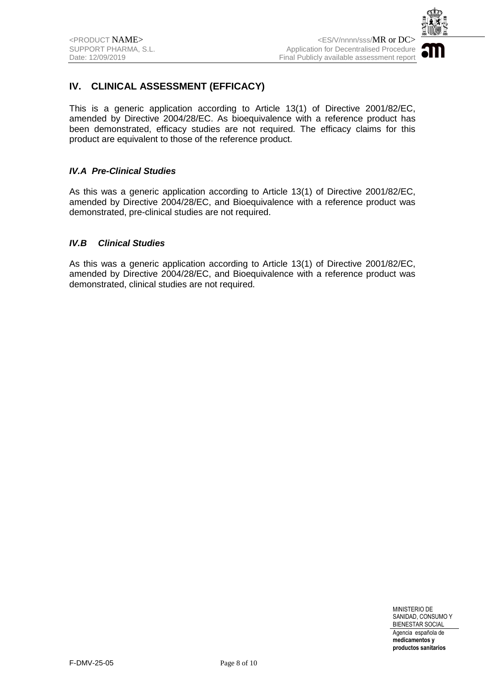

## **IV. CLINICAL ASSESSMENT (EFFICACY)**

This is a generic application according to Article 13(1) of Directive 2001/82/EC, amended by Directive 2004/28/EC. As bioequivalence with a reference product has been demonstrated, efficacy studies are not required. The efficacy claims for this product are equivalent to those of the reference product.

#### *IV.A Pre-Clinical Studies*

As this was a generic application according to Article 13(1) of Directive 2001/82/EC, amended by Directive 2004/28/EC, and Bioequivalence with a reference product was demonstrated, pre-clinical studies are not required.

#### *IV.B Clinical Studies*

As this was a generic application according to Article 13(1) of Directive 2001/82/EC, amended by Directive 2004/28/EC, and Bioequivalence with a reference product was demonstrated, clinical studies are not required.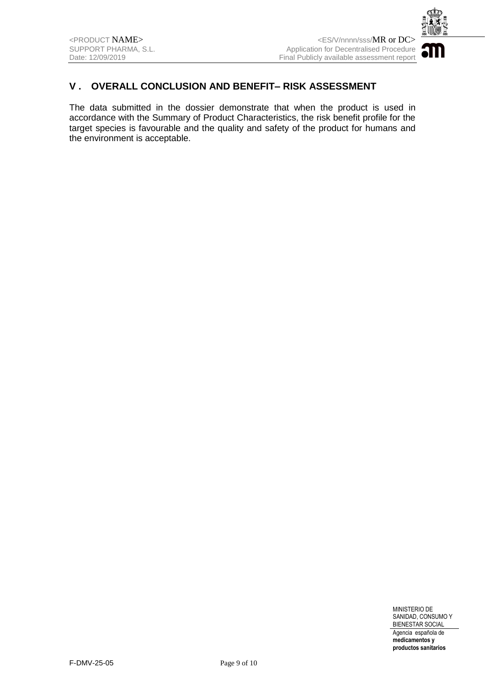

## **V . OVERALL CONCLUSION AND BENEFIT– RISK ASSESSMENT**

The data submitted in the dossier demonstrate that when the product is used in accordance with the Summary of Product Characteristics, the risk benefit profile for the target species is favourable and the quality and safety of the product for humans and the environment is acceptable.

> MINISTERIO DE SANIDAD, CONSUMO Y BIENESTAR SOCIAL Agencia española de **medicamentos y**